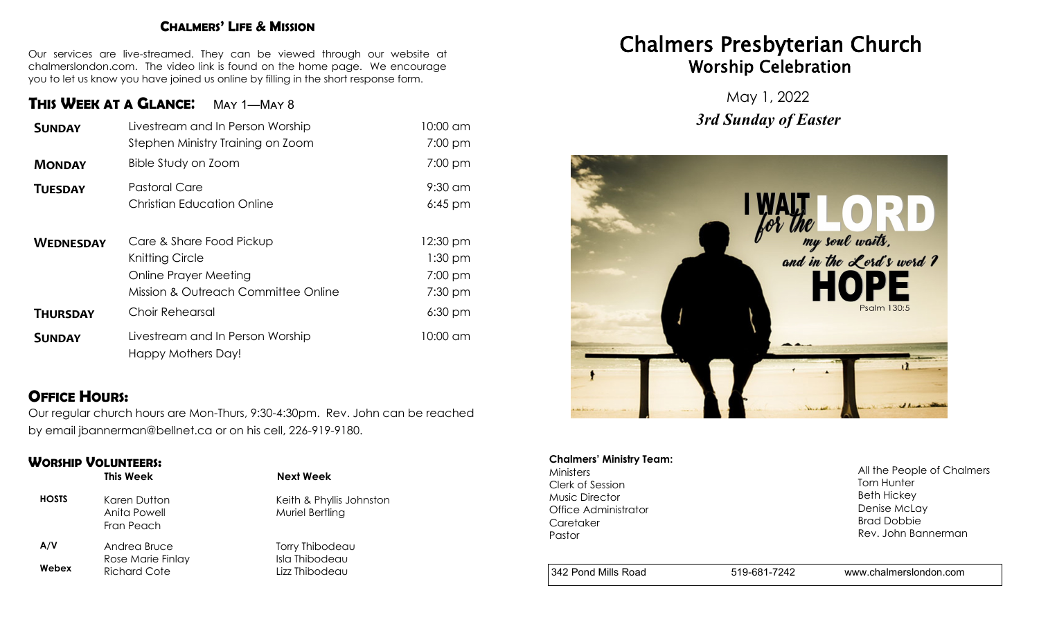#### **CHALMERS' LIFE & MISSION**

Our services are live-streamed. They can be viewed through our website at chalmerslondon.com. The video link is found on the home page. We encourage you to let us know you have joined us online by filling in the short response form.

## **THIS WEEK AT <sup>A</sup> GLANCE**: May 1—May 8

| <b>SUNDAY</b>    | Livestream and In Person Worship    | 10:00 am  |
|------------------|-------------------------------------|-----------|
|                  | Stephen Ministry Training on Zoom   | 7:00 pm   |
| <b>MONDAY</b>    | Bible Study on Zoom                 | 7:00 pm   |
| <b>TUESDAY</b>   | <b>Pastoral Care</b>                | $9:30$ am |
|                  | <b>Christian Education Online</b>   | $6:45$ pm |
|                  |                                     |           |
| <b>WEDNESDAY</b> | Care & Share Food Pickup            | 12:30 pm  |
|                  | Knitting Circle                     | $1:30$ pm |
|                  | Online Prayer Meeting               | 7:00 pm   |
|                  | Mission & Outreach Committee Online | $7:30$ pm |
| <b>THURSDAY</b>  | Choir Rehearsal                     | $6:30$ pm |
| <b>SUNDAY</b>    | Livestream and In Person Worship    | 10:00 am  |
|                  | Happy Mothers Day!                  |           |

## **OFFICE HOURS:**

Our regular church hours are Mon-Thurs, 9:30-4:30pm. Rev. John can be reached by email jbannerman@bellnet.ca or on his cell, 226-919-9180.

## **WORSHIP VOLUNTEERS:**

|              | This Week                                  | Next Week                                   |
|--------------|--------------------------------------------|---------------------------------------------|
| <b>HOSTS</b> | Karen Dutton<br>Anita Powell<br>Fran Peach | Keith & Phyllis Johnston<br>Muriel Bertling |
| A/V          | Andrea Bruce                               | Torry Thibodeau                             |
| Webex        | Rose Marie Finlay<br>Richard Cote          | Isla Thibodeau<br>Lizz Thibodeau            |

# Chalmers Presbyterian Church Worship Celebration

May 1, 2022 *3rd Sunday of Easter*



# **Chalmers' Ministry Team:**

Ministers Clerk of Session Music Director Office Administrator **Caretaker** Pastor

All the People of Chalmers Tom Hunter Beth Hickey Denise McLay Brad Dobbie Rev. John Bannerman

342 Pond Mills Road 519-681-7242 www.chalmerslondon.com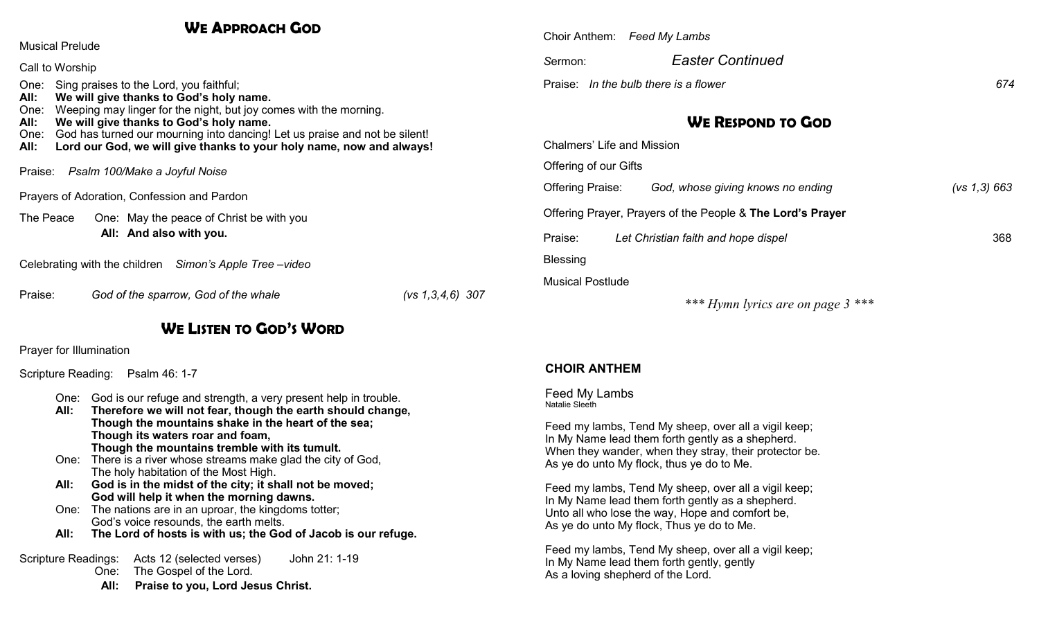## **WE APPROACH GOD**

| <b>Musical Prelude</b>                                                                                                                                                                                                                                                                                                                                                                                   |  |  |  |  |
|----------------------------------------------------------------------------------------------------------------------------------------------------------------------------------------------------------------------------------------------------------------------------------------------------------------------------------------------------------------------------------------------------------|--|--|--|--|
| Call to Worship                                                                                                                                                                                                                                                                                                                                                                                          |  |  |  |  |
| Sing praises to the Lord, you faithful;<br>One:<br>We will give thanks to God's holy name.<br>All:<br>Weeping may linger for the night, but joy comes with the morning.<br>One:<br>We will give thanks to God's holy name.<br>All:<br>God has turned our mourning into dancing! Let us praise and not be silent!<br>One:<br>Lord our God, we will give thanks to your holy name, now and always!<br>All: |  |  |  |  |
| Praise: Psalm 100/Make a Joyful Noise                                                                                                                                                                                                                                                                                                                                                                    |  |  |  |  |
| Prayers of Adoration, Confession and Pardon                                                                                                                                                                                                                                                                                                                                                              |  |  |  |  |
| The Peace<br>One: May the peace of Christ be with you<br>All: And also with you.                                                                                                                                                                                                                                                                                                                         |  |  |  |  |
| Celebrating with the children Simon's Apple Tree – video                                                                                                                                                                                                                                                                                                                                                 |  |  |  |  |

Praise: *God of the sparrow, God of the whale (vs 1,3,4,6) 307*

## **WE LISTEN TO GOD'S WORD**

Prayer for Illumination

Scripture Reading: Psalm 46: 1-7

- One: God is our refuge and strength, a very present help in trouble.
- **All: Therefore we will not fear, though the earth should change, Though the mountains shake in the heart of the sea; Though its waters roar and foam, Though the mountains tremble with its tumult.**
- One: There is a river whose streams make glad the city of God, The holy habitation of the Most High.
- **All: God is in the midst of the city; it shall not be moved; God will help it when the morning dawns.**
- One: The nations are in an uproar, the kingdoms totter; God's voice resounds, the earth melts.
- **All: The Lord of hosts is with us; the God of Jacob is our refuge.**

Scripture Readings: Acts 12 (selected verses) John 21: 1-19 One: The Gospel of the Lord.

**All: Praise to you, Lord Jesus Christ.**

|         | Choir Anthem: Feed My Lambs           |     |
|---------|---------------------------------------|-----|
| Sermon: | <b>Easter Continued</b>               |     |
|         | Praise: In the bulb there is a flower | 674 |

# **WE RESPOND TO GOD**

| Chalmers' Life and Mission |                                                            |              |
|----------------------------|------------------------------------------------------------|--------------|
| Offering of our Gifts      |                                                            |              |
| Offering Praise:           | God, whose giving knows no ending                          | (vs 1,3) 663 |
|                            | Offering Prayer, Prayers of the People & The Lord's Prayer |              |
| Praise:                    | Let Christian faith and hope dispel                        | 368          |
| Blessing                   |                                                            |              |
| <b>Musical Postlude</b>    |                                                            |              |
|                            |                                                            |              |

*\*\*\* Hymn lyrics are on page 3 \*\*\** 

#### **CHOIR ANTHEM**

#### Feed My Lambs Natalie Sleeth

Feed my lambs, Tend My sheep, over all a vigil keep; In My Name lead them forth gently as a shepherd. When they wander, when they stray, their protector be. As ye do unto My flock, thus ye do to Me.

Feed my lambs, Tend My sheep, over all a vigil keep; In My Name lead them forth gently as a shepherd. Unto all who lose the way, Hope and comfort be, As ye do unto My flock, Thus ye do to Me.

Feed my lambs, Tend My sheep, over all a vigil keep; In My Name lead them forth gently, gently As a loving shepherd of the Lord.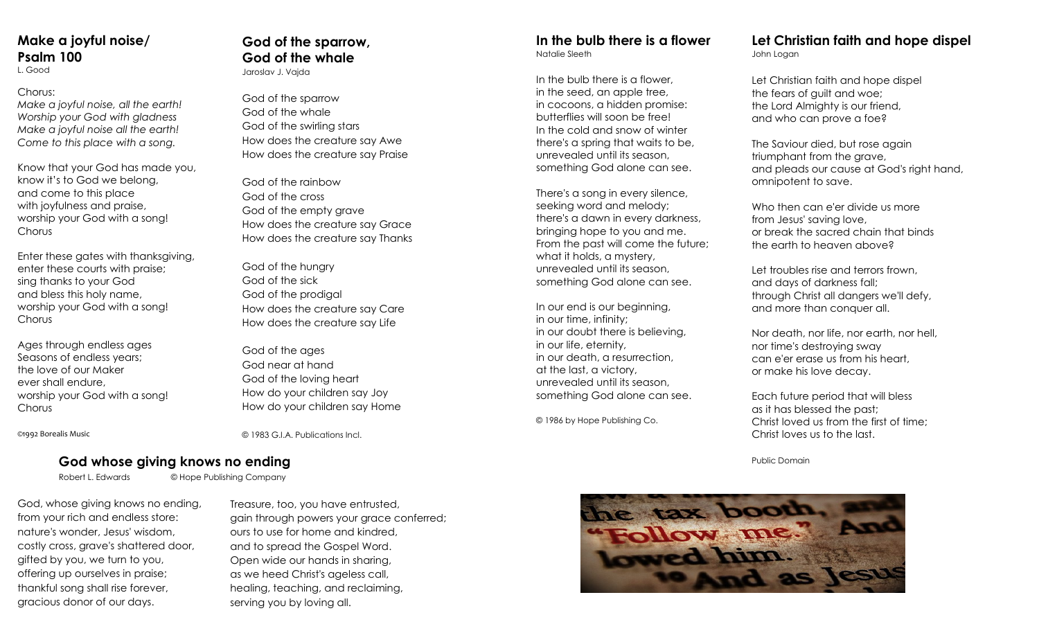# **Make a joyful noise/ Psalm 100**

L. Good

#### Chorus:

*Make a joyful noise, all the earth! Worship your God with gladness Make a joyful noise all the earth! Come to this place with a song.*

Know that your God has made you, know it's to God we belong, and come to this place with joyfulness and praise, worship your God with a song! **Chorus** 

Enter these gates with thanksgiving, enter these courts with praise; sing thanks to your God and bless this holy name, worship your God with a song! **Chorus** 

Ages through endless ages Seasons of endless years; the love of our Maker ever shall endure, worship your God with a song! Chorus

©1992 Borealis Music

**God of the sparrow, God of the whale**

Jaroslav J. Vajda

God of the sparrow God of the whale God of the swirling stars How does the creature say Awe How does the creature say Praise

God of the rainbow God of the cross God of the empty grave How does the creature say Grace How does the creature say Thanks

God of the hungry God of the sick God of the prodigal How does the creature say Care How does the creature say Life

God of the ages God near at hand God of the loving heart How do your children say Joy How do your children say Home

*©* 1983 G.I.A. Publications Incl.

#### **Cod whose giving knows no ending and the state of the state of the state of the Public Domain Public Domain**

Robert L. Edwards © Hope Publishing Company

God, whose giving knows no ending, from your rich and endless store: nature's wonder, Jesus' wisdom, costly cross, grave's shattered door, gifted by you, we turn to you, offering up ourselves in praise; thankful song shall rise forever, gracious donor of our days.

Treasure, too, you have entrusted, gain through powers your grace conferred; ours to use for home and kindred, and to spread the Gospel Word. Open wide our hands in sharing, as we heed Christ's ageless call, healing, teaching, and reclaiming, serving you by loving all.

#### **In the bulb there is a flower** Natalie Sleeth

In the bulb there is a flower, in the seed, an apple tree, in cocoons, a hidden promise: butterflies will soon be free! In the cold and snow of winter there's a spring that waits to be, unrevealed until its season, something God alone can see.

There's a song in every silence, seeking word and melody; there's a dawn in every darkness, bringing hope to you and me. From the past will come the future; what it holds, a mystery, unrevealed until its season, something God alone can see.

In our end is our beginning, in our time, infinity; in our doubt there is believing, in our life, eternity, in our death, a resurrection, at the last, a victory, unrevealed until its season, something God alone can see.

© 1986 by Hope Publishing Co.

#### **Let Christian faith and hope dispel** John Logan

Let Christian faith and hope dispel the fears of guilt and woe; the Lord Almighty is our friend, and who can prove a foe?

The Saviour died, but rose again triumphant from the grave, and pleads our cause at God's right hand, omnipotent to save.

Who then can e'er divide us more from Jesus' saving love, or break the sacred chain that binds the earth to heaven above?

Let troubles rise and terrors frown, and days of darkness fall; through Christ all dangers we'll defy, and more than conquer all.

Nor death, nor life, nor earth, nor hell, nor time's destroying sway can e'er erase us from his heart, or make his love decay.

Each future period that will bless as it has blessed the past; Christ loved us from the first of time; Christ loves us to the last.